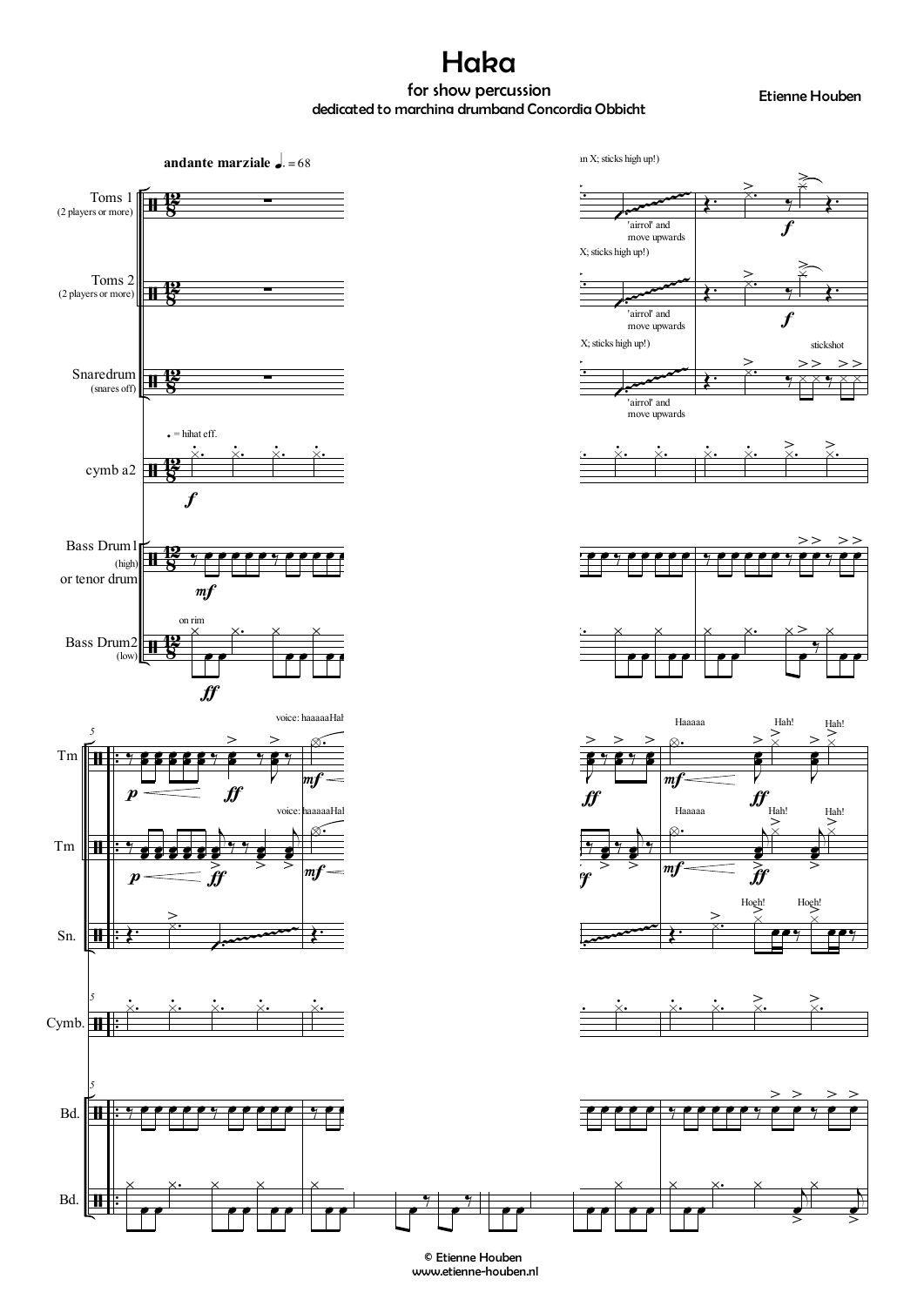## Haka

## for show percussion dedicated to marching drumband Concordia Obbicht

Etienne Houben



i<br>F⊡  $\frac{1}{2}$ S− x− = S− x− = S− 'airrol' and move upwards X; sticks high up!) 'airrol' and move upwards X; sticks high up!) 'airrol' and move upwards Œ− ×−<br>≧  $\frac{1}{\sqrt{2}}$ ‰  $\frac{1}{\times}$  $\geqslant$ Œ− Œ− ×−<br>≃≤  $\frac{1}{\sqrt{2}}$ ‰  $\frac{1}{\times}$  $\geqslant$ Œ− Œ− ×−<br>∝−  $\frac{1}{\overline{X}}$  $\frac{2}{7}$  $\geq$ ≥<br>¥ =  $\frac{2}{7}$  $\geq$ ≤<br>X  $\geq$ f  $\overline{f}$ stickshot }}}}}}}}} }}}}}}}}}} }}}}}}}}}}

 $\,$  an X; sticks high up!)











© Etienne Houben www.etienne-houben.nl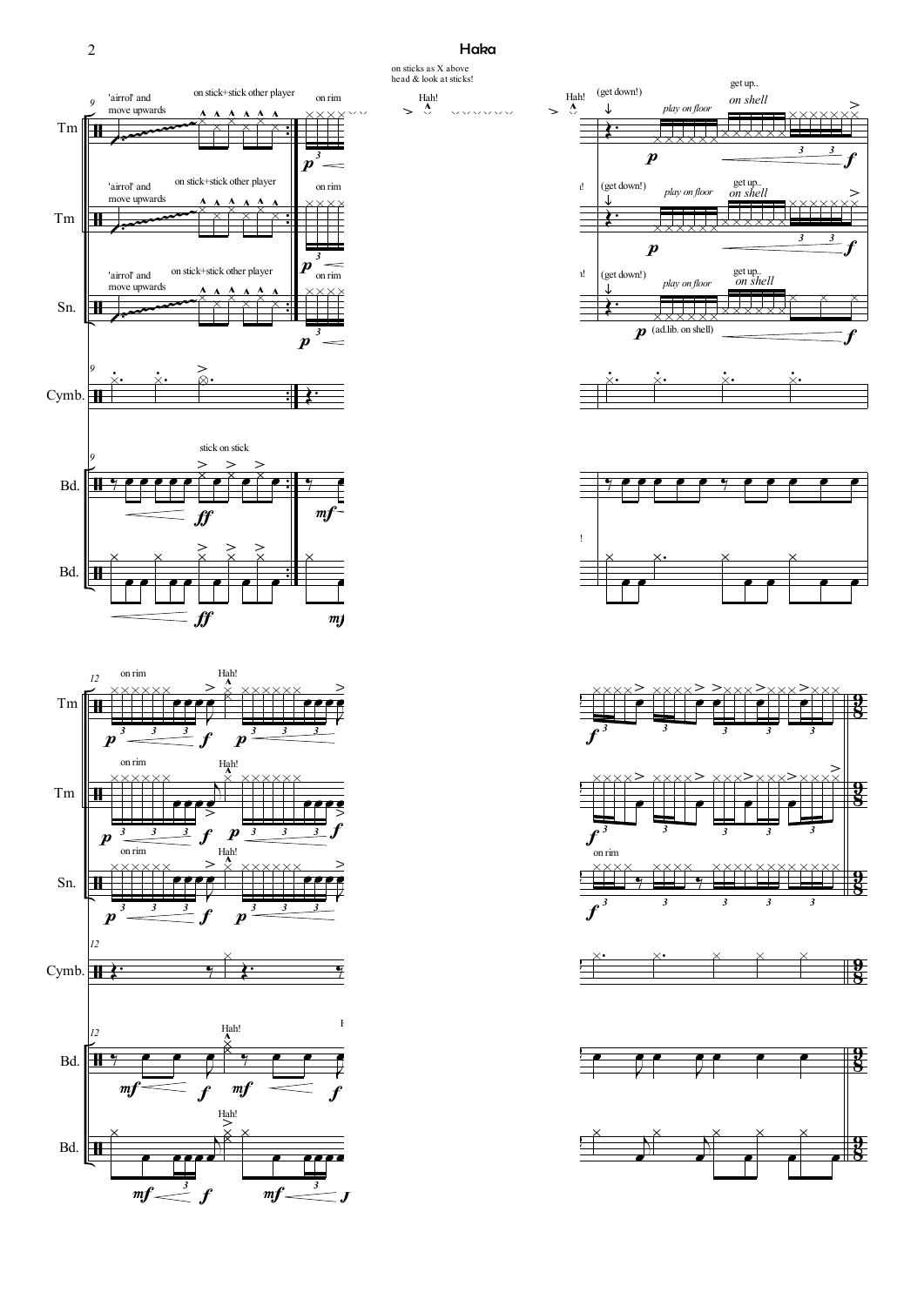$\mathbf{H}$ ah! on sticks as X above head & look at sticks!

 $\frac{1}{\sqrt{2}}$ 



















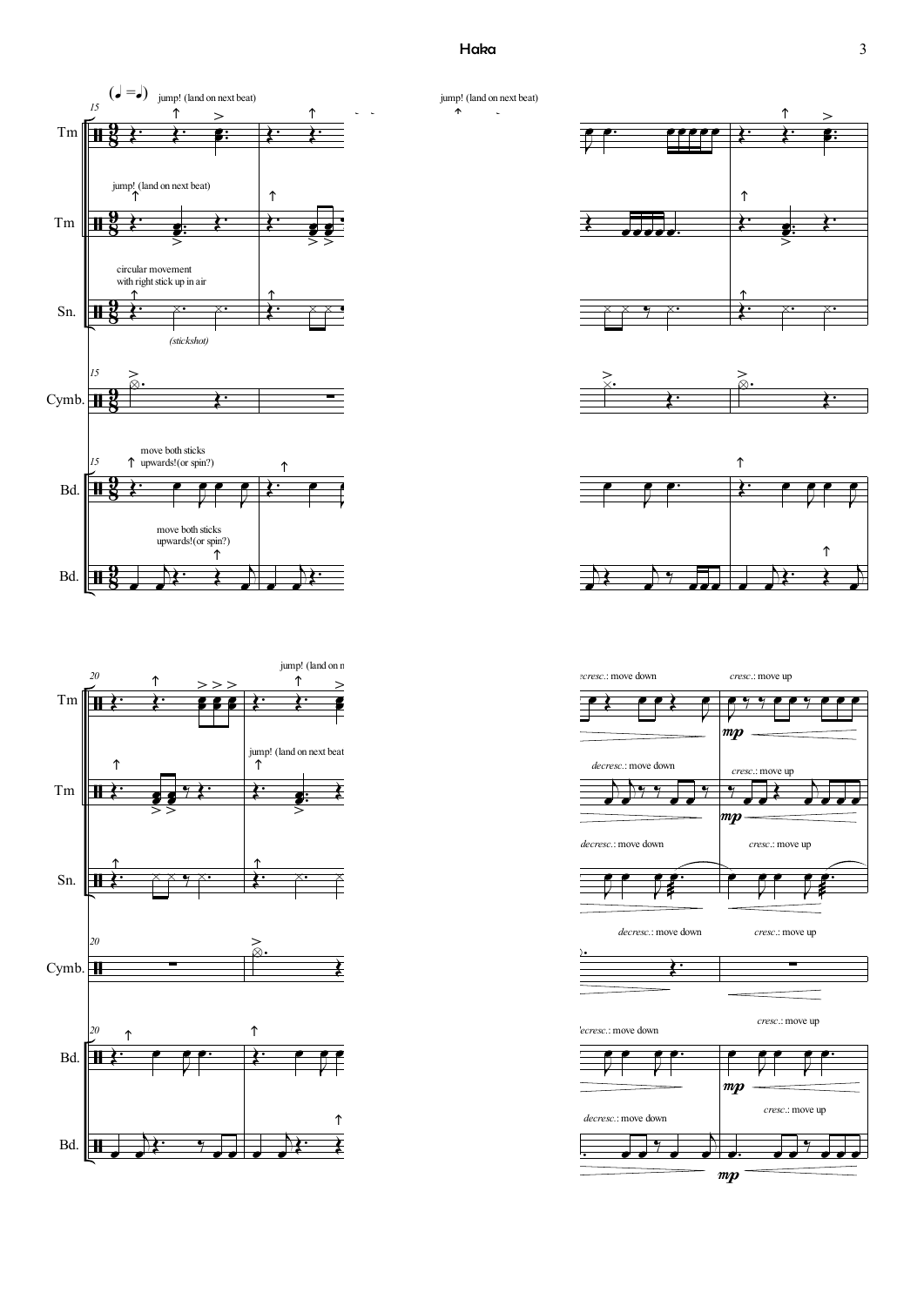## Haka 3

h jump! (land on next beat)













*decresc.*: move down

*cresc*.: move up



Œ−

*decresc.*: move down

*cresc*.: move up

∑

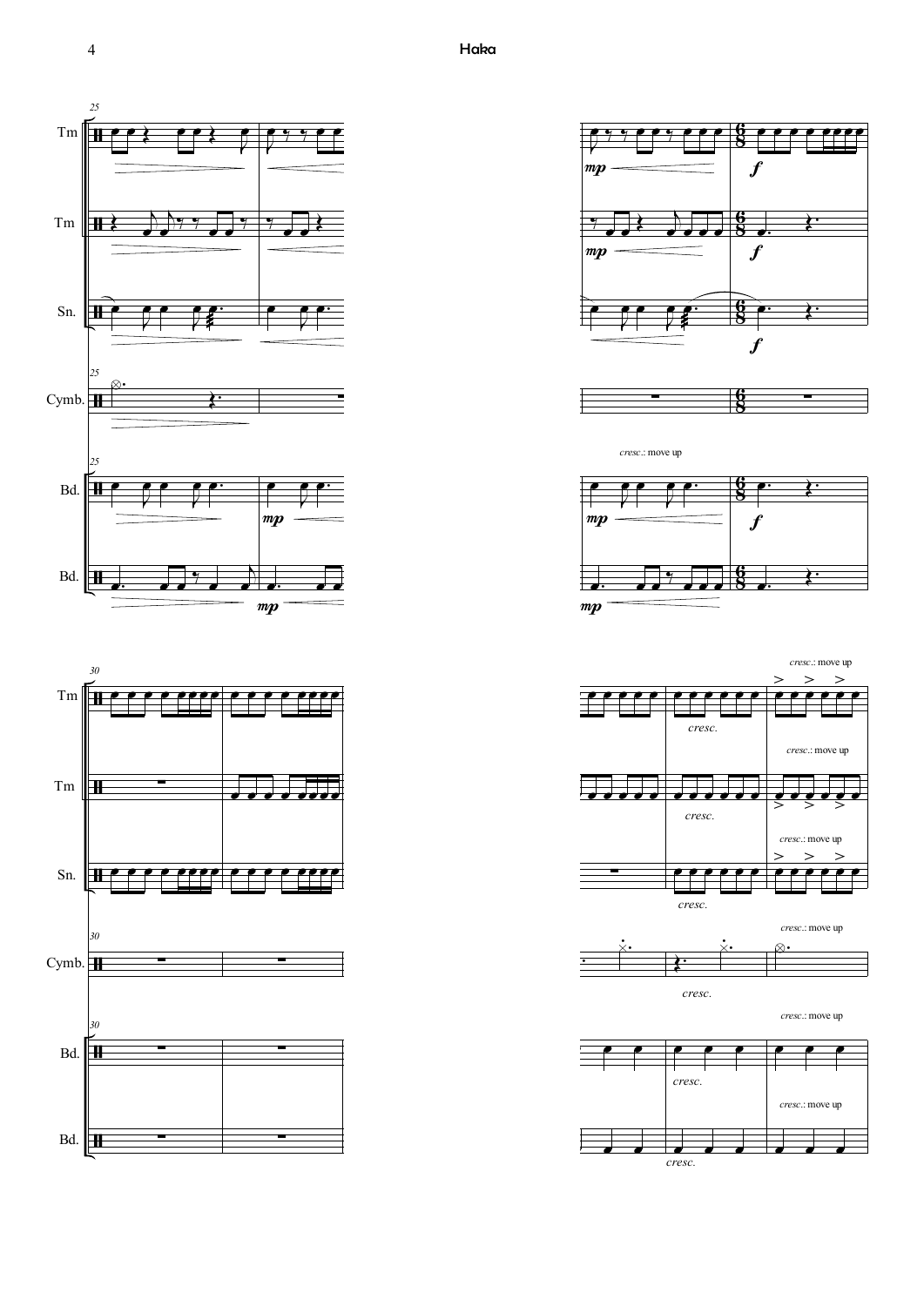







*cresc*.: move up







*cresc*.: move up

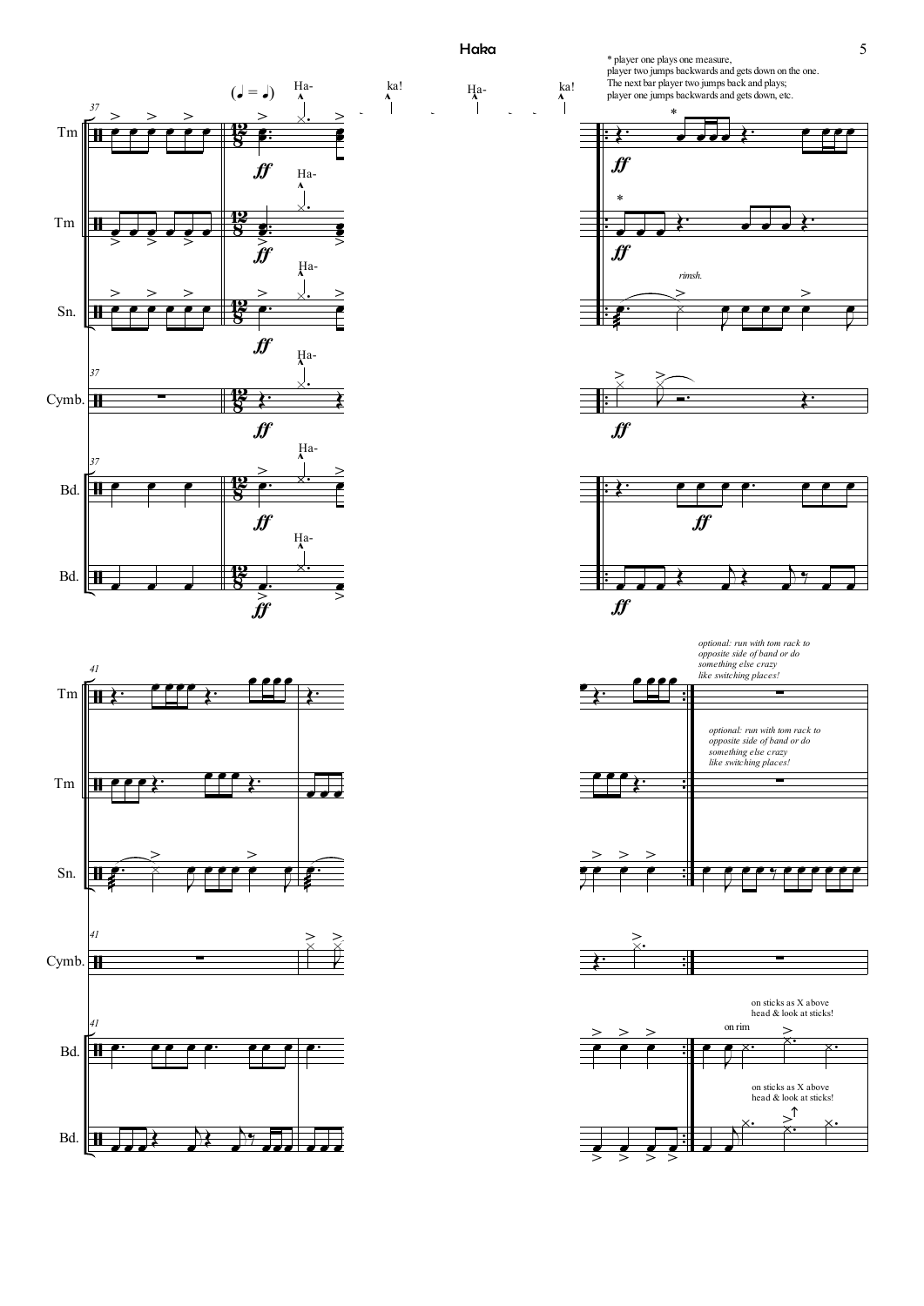=

 $\frac{K}{\Lambda}$ 

= x−<br>x−x−x−

= x−  $\frac{1}{\lambda}$ 

\* player one plays one measure, player two jumps backwards and gets down on the one. The next bar player two jumps back and plays; Haka 5















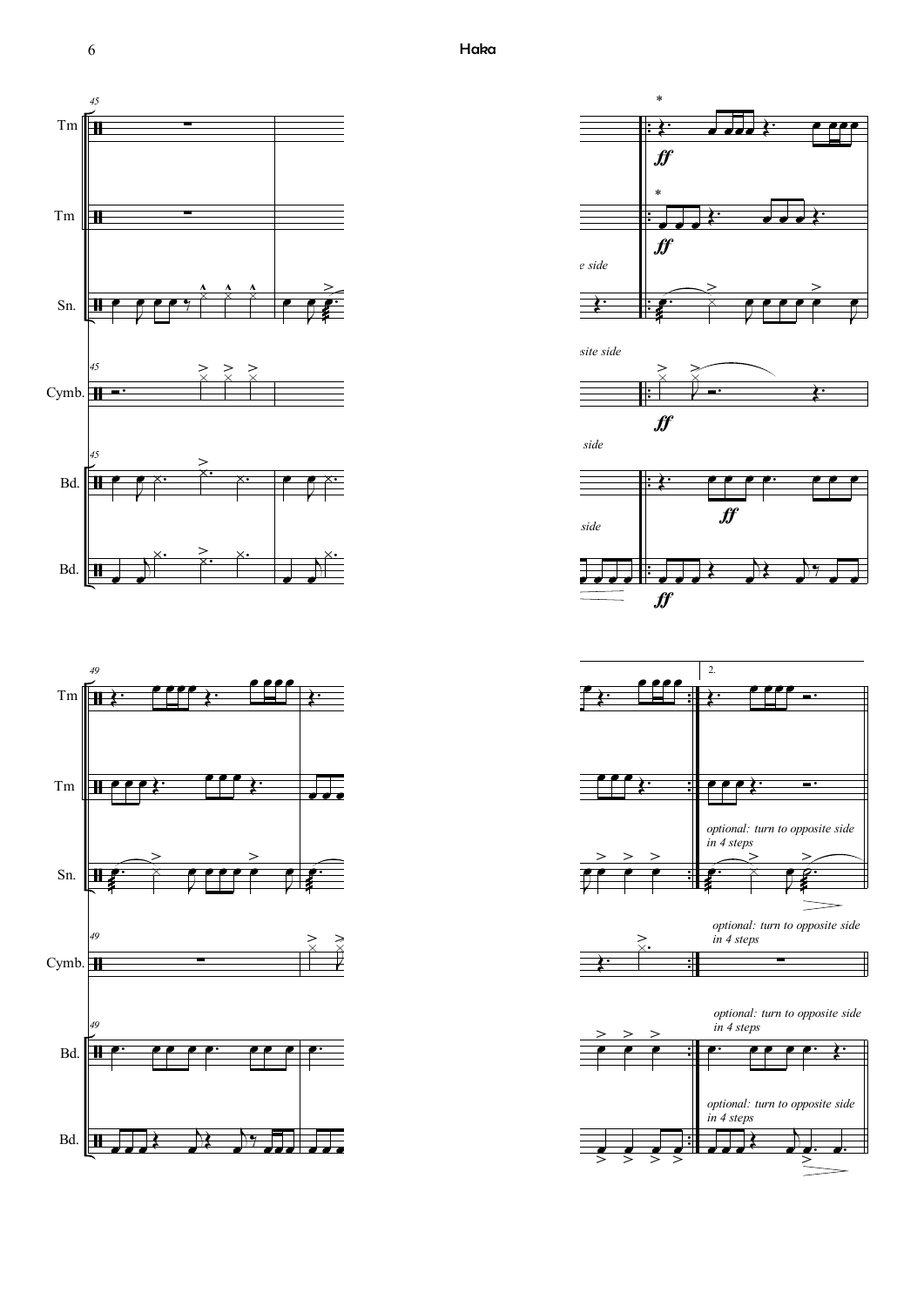







*optional: turn to opposite side*





−  $\frac{•}{•}$  $\overrightarrow{r}$ ×−<br>∠≺  $\frac{1}{\times}$ ∑ *in 4 steps*

−  $\frac{•}{•}$ − − œ− Œ− œ  $\geq$ œ  $\geq$ œ  $\geq$ œ  $\frac{1}{2}$ œ  $\frac{1}{2}$ œ  $\frac{1}{2}$ œ  $\frac{1}{2}$ œ− œ œ œ œ− Œ− œ œ œ Œ ι खे<u>ल</u>े.  $\geq$ œ− *optional: turn to opposite side in 4 steps optional: turn to opposite side in 4 steps*